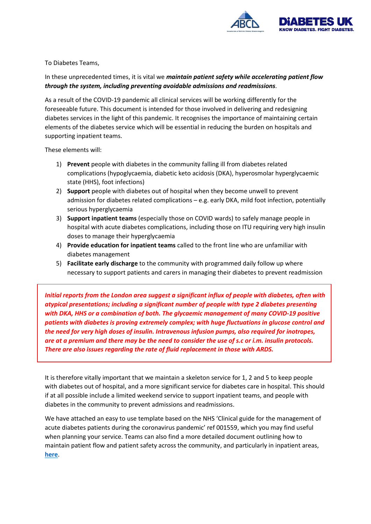

To Diabetes Teams,

## In these unprecedented times, it is vital we *maintain patient safety while accelerating patient flow through the system, including preventing avoidable admissions and readmissions.*

As a result of the COVID-19 pandemic all clinical services will be working differently for the foreseeable future. This document is intended for those involved in delivering and redesigning diabetes services in the light of this pandemic. It recognises the importance of maintaining certain elements of the diabetes service which will be essential in reducing the burden on hospitals and supporting inpatient teams.

These elements will:

- 1) **Prevent** people with diabetes in the community falling ill from diabetes related complications (hypoglycaemia, diabetic keto acidosis (DKA), hyperosmolar hyperglycaemic state (HHS), foot infections)
- 2) **Support** people with diabetes out of hospital when they become unwell to prevent admission for diabetes related complications – e.g. early DKA, mild foot infection, potentially serious hyperglycaemia
- 3) **Support inpatient teams** (especially those on COVID wards) to safely manage people in hospital with acute diabetes complications, including those on ITU requiring very high insulin doses to manage their hyperglycaemia
- 4) **Provide education for inpatient teams** called to the front line who are unfamiliar with diabetes management
- 5) **Facilitate early discharge** to the community with programmed daily follow up where necessary to support patients and carers in managing their diabetes to prevent readmission

*Initial reports from the London area suggest a significant influx of people with diabetes, often with atypical presentations; including a significant number of people with type 2 diabetes presenting with DKA, HHS or a combination of both. The glycaemic management of many COVID-19 positive patients with diabetes is proving extremely complex; with huge fluctuations in glucose control and the need for very high doses of insulin. Intravenous infusion pumps, also required for inotropes, are at a premium and there may be the need to consider the use of s.c or i.m. insulin protocols. There are also issues regarding the rate of fluid replacement in those with ARDS.* 

It is therefore vitally important that we maintain a skeleton service for 1, 2 and 5 to keep people with diabetes out of hospital, and a more significant service for diabetes care in hospital. This should if at all possible include a limited weekend service to support inpatient teams, and people with diabetes in the community to prevent admissions and readmissions.

We have attached an easy to use template based on the NHS 'Clinical guide for the management of acute diabetes patients during the coronavirus pandemic' ref 001559, which you may find useful when planning your service. Teams can also find a more detailed document outlining how to maintain patient flow and patient safety across the community, and particularly in inpatient areas, **[here](https://abcd.care/maintaining-and-delivering-diabetes-services-during-covid-19-pandemic)**.